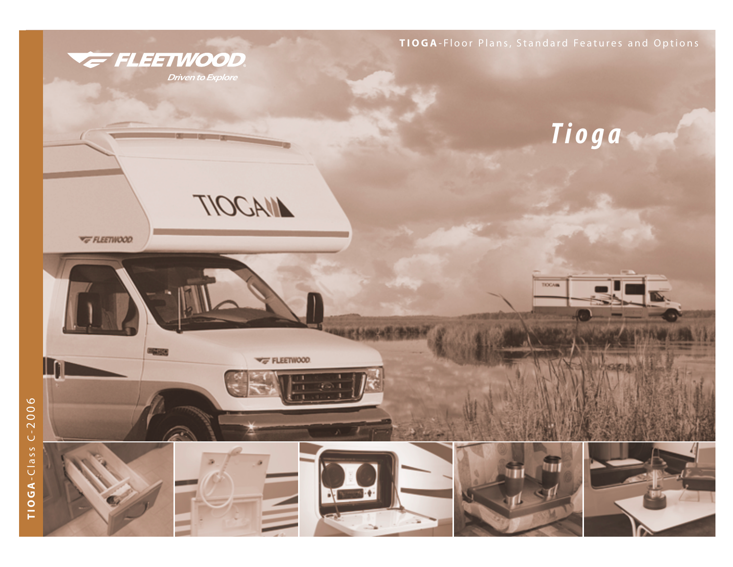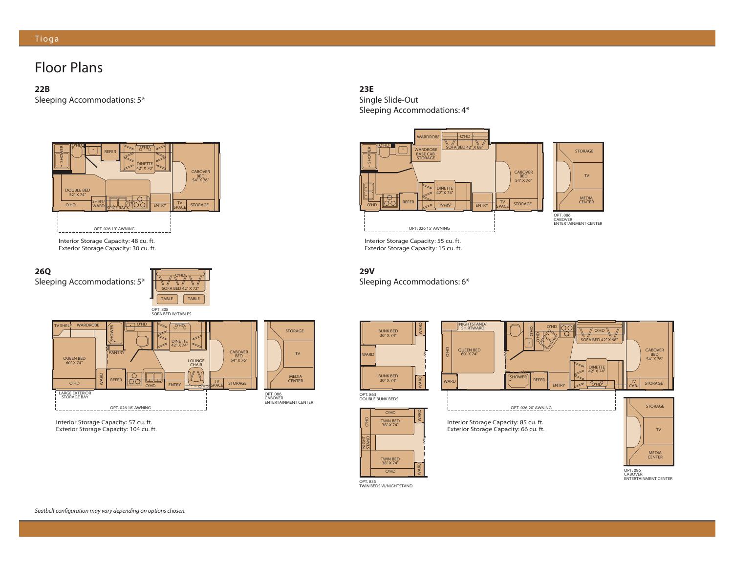#### Tioga

## Floor Plans

**22B**

Sleeping Accommodations: 5\*





Interior Storage Capacity: 57 cu. ft. Interior Storage Capacity: 57 cu. ft. Exterior Storage Capacity: 104 cu. ft. Exterior Storage Capacity: 104 cu. ft.



Single Slide-Out Sleeping Accommodations: 4\*



Interior Storage Capacity: 55 cu. ft. Interior Storage Capacity: 55 cu. ft. Exterior Storage Capacity: 15 cu. ft. Exterior Storage Capacity: 15 cu. ft.

**29V**

Sleeping Accommodations: 6\*



OPT. 835 TWIN BEDS W/NIGHTSTAND

NIGHT STAND

O'HD

TV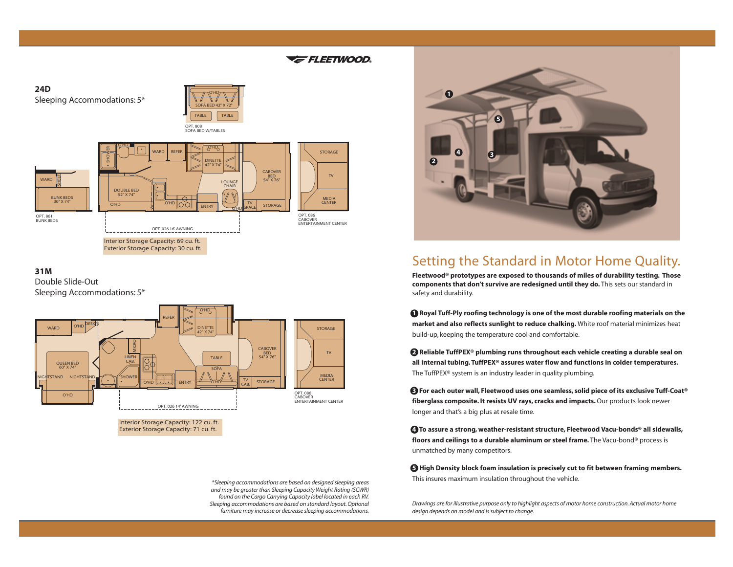### **E** FLEETWOOD



#### **31M**

Double Slide-Out Sleeping Accommodations: 5\*



Exterior Storage Capacity: 71 cu. ft. Exterior Storage Capacity: 71 cu. ft.

*\*Sleeping accommodations are based on designed sleeping areas and may be greater than Sleeping Capacity Weight Rating (SCWR) found on the Cargo Carrying Capacity label located in each RV. Sleeping accommodations are based on standard layout. Optional furniture may increase or decrease sleeping accommodations.*



## Setting the Standard in Motor Home Quality.

**Fleetwood® prototypes are exposed to thousands of miles of durability testing. Those components that don't survive are redesigned until they do.** This sets our standard in safety and durability.

**<sup>1</sup> Royal Tuff-Ply roofing technology is one of the most durable roofing materials on the market and also reflects sunlight to reduce chalking.** White roof material minimizes heat build-up, keeping the temperature cool and comfortable.

**2 Reliable TuffPEX® plumbing runs throughout each vehicle creating a durable seal on all internal tubing. TuffPEX® assures water flow and functions in colder temperatures.** The TuffPEX® system is an industry leader in quality plumbing.

**3 For each outer wall, Fleetwood uses one seamless, solid piece of its exclusive Tuff-Coat® fiberglass composite. It resists UV rays, cracks and impacts.**Our products look newer longer and that's a big plus at resale time.

**4 To assure a strong, weather-resistant structure, Fleetwood Vacu-bonds® all sidewalls, floors and ceilings to a durable aluminum or steel frame.** The Vacu-bond® process is unmatched by many competitors.

**5 High Density block foam insulation is precisely cut to fit between framing members.** This insures maximum insulation throughout the vehicle.

*Drawings are for illustrative purpose only to highlight aspects of motor home construction. Actual motor home design depends on model and is subject to change.*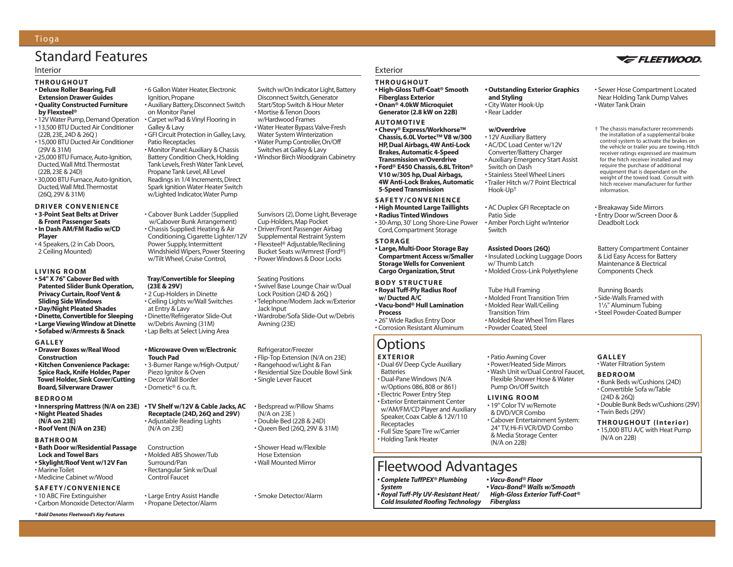# Standard Features

#### Interior Exterior

Tioga

#### **THROUGHOUT • Deluxe Roller Bearing, Full**

- **Extension Drawer Guides • Quality Constructed Furniture**
- **by Flexsteel®** • 12V Water Pump, Demand Operation
- 13,500 BTU Ducted Air Conditioner
- (22B,23E,24D & 26Q )
- 15,000 BTU Ducted Air Conditioner (29V & 31M)
- 25,000 BTU Furnace,Auto-Ignition, Ducted,Wall Mtd.Thermostat (22B,23E & 24D)
- 30,000 BTU Furnace, Auto-Ignition, Ducted,Wall Mtd.Thermostat (26Q,29V & 31M)

#### **DRIVER CONVENIENCE**

- **3-Point Seat Belts at Driver & Front Passenger Seats • In Dash AM/FM Radio w/CD**
- **Player** • 4 Speakers, (2 in Cab Doors,
- 2 Ceiling Mounted)

#### **LIVING ROOM**

- **54" X 76" Cabover Bed with Patented Slider Bunk Operation, Privacy Curtain, Roof Vent & Sliding Side Windows**
- **Day/Night Pleated Shades**
- **Dinette,Convertible for Sleeping • Large Viewing Window at Dinette**
- **Sofabed w/Armrests & Snack**
- **GALLEY**
- **Drawer Boxes w/Real Wood Construction**
- **Kitchen Convenience Package: Spice Rack, Knife Holder, Paper Towel Holder, Sink Cover/Cutting Board, Silverware Drawer**

#### **BEDROOM**

- **Innerspring Mattress (N/A on 23E) • Night Pleated Shades (N/A on 23E)**
- **Roof Vent (N/A on 23E)**

#### **BATHROOM**

- **Bath Door w/Residential Passage Lock and Towel Bars • Skylight/Roof Vent w/12V Fan**
- Marine Toilet • Medicine Cabinet w/Wood

#### **SAFETY/CONVENIENCE**

• 10 ABC Fire Extinguisher • Carbon Monoxide Detector/Alarm

*\* Bold Denotes Fleetwood's Key Features*

• 6 Gallon Water Heater,Electronic Ignition, Propane • Auxiliary Battery,Disconnect Switch on Monitor Panel • Carpet w/Pad & Vinyl Flooring in Galley & Lavy • GFI Circuit Protection in Galley,Lavy, Patio Receptacles • Monitor Panel:Auxiliary & Chassis Battery Condition Check,Holding Tank Levels, Fresh Water Tank Level, Propane Tank Level, All Level Readings in 1/4 Increments,Direct Spark Ignition Water Heater Switch w/Lighted Indicator,Water Pump

• Cabover Bunk Ladder (Supplied w/Cabover Bunk Arrangement) • Chassis Supplied: Heating & Air Conditioning, Cigarette Lighter/12V Power Supply, Intermittent Windshield Wipers, Power Steering w/Tilt Wheel, Cruise Control,

#### **Tray/Convertible for Sleeping (23E & 29V)**

• 2 Cup-Holders in Dinette • Ceiling Lights w/Wall Switches at Entry & Lavy • Dinette/Refrigerator Slide-Out w/Debris Awning (31M) • Lap Belts at Select Living Area

#### **• Microwave Oven w/Electronic Touch Pad**

• 3-Burner Range w/High-Output/ Piezo Ignitor & Oven • Decor Wall Border • Dometic® 6 cu. ft.

#### **• TV Shelf w/12V & Cable Jacks, AC Receptacle (24D, 26Q and 29V)** • Adjustable Reading Lights (N/A on 23E)

Construction • Molded ABS Shower/Tub Surround/Pan • Rectangular Sink w/Dual Control Faucet

#### • Large Entry Assist Handle • Propane Detector/Alarm

Switch w/On Indicator Light, Battery Disconnect Switch,Generator Start/Stop Switch & Hour Meter • Mortise & Tenon Doors w/Hardwood Frames • Water Heater Bypass Valve-Fresh Water System Winterization • Water Pump Controller,On/Off Switches at Galley & Lavy • Windsor Birch Woodgrain Cabinetry

Sunvisors (2), Dome Light, Beverage Cup-Holders, Map Pocket • Driver/Front Passenger Airbag Supplemental Restraint System • Flexsteel® Adjustable/Reclining Bucket Seats w/Armrest (Ford®) • Power Windows & Door Locks

Seating Positions

• Swivel Base Lounge Chair w/Dual Lock Position (24D & 26Q ) • Telephone/Modem Jack w/Exterior Jack Input • Wardrobe/Sofa Slide-Out w/Debris Awning (23E)

Refrigerator/Freezer • Flip-Top Extension (N/A on 23E) • Rangehood w/Light & Fan • Residential Size Double Bowl Sink • Single Lever Faucet

• Bedspread w/Pillow Shams (N/A on 23E ) • Double Bed (22B & 24D) • Queen Bed (26Q, 29V & 31M)

• Shower Head w/Flexible Hose Extension • Wall Mounted Mirror

#### • Smoke Detector/Alarm

**THROUGHOUT • High-Gloss Tuff-Coat® Smooth Fiberglass Exterior**

#### **• Onan® 4.0kW Microquiet Generator (2.8 kW on 22B)**

#### **AUTOMOTIVE**

**• Chevy® Express/Workhorse™ Chassis, 6.0L Vortec™ V8 w/300 HP, Dual Airbags, 4W Anti-Lock Brakes, Automatic 4-Speed Transmission w/Overdrive • Ford® E450 Chassis, 6.8L Triton® V10 w/305 hp, Dual Airbags, 4W Anti-Lock Brakes, Automatic 5-Speed Transmission** 

#### **SAFETY/CONVENIENCE • High Mounted Large Taillights**

**• Radius Tinted Windows** • 30-Amp, 30' Long Shore-Line Power Cord, Compartment Storage

#### **STORAGE**

**• Large, Multi-Door Storage Bay Compartment Access w/Smaller Storage Wells for Convenient Cargo Organization, Strut** 

#### **BODY STRUCTURE • Royal Tuff-Ply Radius Roof**

#### **w/ Ducted A/C • Vacu-bond® Hull Lamination Process**

• 26" Wide Radius Entry Door • Corrosion Resistant Aluminum

## **Options**

#### **EXTERIOR**

• Dual 6V Deep Cycle Auxiliary Batteries • Dual-Pane Windows (N/A w/Options 086, 808 or 861) • Electric Power Entry Step • Exterior Entertainment Center w/AM/FM/CD Player and Auxiliary Speaker, Coax Cable & 12V/110 **Receptacles** • Full Size Spare Tire w/Carrier • Holding Tank Heater

## Fleetwood Advantages

- *Complete TuffPEX® Plumbing System*
- *Royal Tuff-Ply UV-Resistant Heat/ Cold Insulated Roofing Technology • Vacu-Bond® Walls w/Smooth*

# **• Outstanding Exterior Graphics**

**and Styling** • City Water Hook-Up • Rear Ladder

#### **w/Overdrive**

• 12V Auxiliary Battery

- AC/DC Load Center w/12V Converter/Battery Charger
- Auxiliary Emergency Start Assist Switch on Dash

• Stainless Steel Wheel Liners • Trailer Hitch w/7 Point Electrical Hook-Up†

• AC Duplex GFI Receptacle on Patio Side

• Amber Porch Light w/Interior Switch

#### **Assisted Doors (26Q)**

• Insulated Locking Luggage Doors w/ Thumb Latch • Molded Cross-Link Polyethylene

#### Tube Hull Framing

- Molded Front Transition Trim
- Molded Rear Wall/Ceiling
- Transition Trim
- Molded Rear Wheel Trim Flares • Powder Coated, Steel
- Patio Awning Cover • Power/Heated Side Mirrors • Wash Unit w/Dual Control Faucet, Flexible Shower Hose & Water Pump On/Off Switch

#### **LIVING ROOM**

*• Vacu-Bond® Floor*

*Fiberglass*

• 19" Color TV w/Remote & DVD/VCR Combo • Cabover Entertainment System: 24" TV, Hi-Fi VCR/DVD Combo & Media Storage Center (N/A on 22B)

*High-Gloss Exterior Tuff-Coat®*

Battery Compartment Container & Lid Easy Access for Battery Maintenance & Electrical Components Check

> Running Boards • Side-Walls Framed with

1**1 ⁄2**" Aluminum Tubing

• Breakaway Side Mirrors • Entry Door w/Screen Door &

Deadbolt Lock

- Steel Powder-Coated Bumper
- 

**GALLEY** • Water Filtration System

#### **BEDROOM**

- Bunk Beds w/Cushions (24D) • Convertible Sofa w/Table (24D & 26Q)
- Double Bunk Beds w/Cushions (29V) • Twin Beds (29V)
- **THROUGHOUT (Interior)** • 15,000 BTU A/C with Heat Pump

(N/A on 22B)

## • Sewer Hose Compartment Located Near Holding Tank Dump Valves • Water Tank Drain

**E FLEETWOOD** 

† The chassis manufacturer recommends the installation of a supplemental brake control system to activate the brakes on the vehicle or trailer you are towing. Hitch receiver ratings expressed are maximum for the hitch receiver installed and may require the purchase of additional equipment that is dependant on the weight of the towed load. Consult with hitch receiver manufacturer for further information.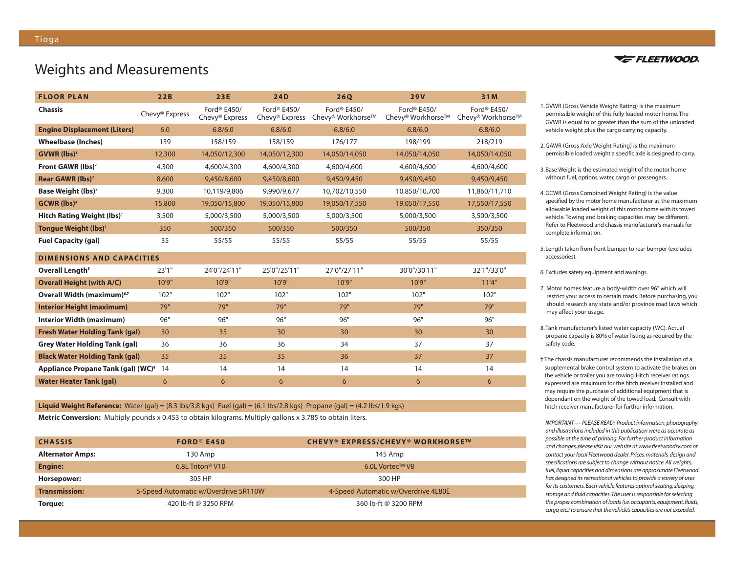## Weights and Measurements

| <b>FLOOR PLAN</b>                              | 22B                        | 23E                                       | <b>24D</b>                                            | <b>26Q</b>                                   | <b>29V</b>                       | 31M                                          |
|------------------------------------------------|----------------------------|-------------------------------------------|-------------------------------------------------------|----------------------------------------------|----------------------------------|----------------------------------------------|
| <b>Chassis</b>                                 | Chevy <sup>®</sup> Express | Ford® E450/<br>Chevy <sup>®</sup> Express | Ford <sup>®</sup> E450/<br>Chevy <sup>®</sup> Express | Ford <sup>®</sup> E450/<br>Chevy® Workhorse™ | Ford® E450/<br>Chevy® Workhorse™ | Ford <sup>®</sup> E450/<br>Chevy® Workhorse™ |
| <b>Engine Displacement (Liters)</b>            | 6.0                        | 6.8/6.0                                   | 6.8/6.0                                               | 6.8/6.0                                      | 6.8/6.0                          | 6.8/6.0                                      |
| <b>Wheelbase (Inches)</b>                      | 139                        | 158/159                                   | 158/159                                               | 176/177                                      | 198/199                          | 218/219                                      |
| <b>GVWR</b> (lbs) <sup>1</sup>                 | 12,300                     | 14,050/12,300                             | 14,050/12,300                                         | 14,050/14,050                                | 14,050/14,050                    | 14,050/14,050                                |
| Front GAWR (lbs) <sup>2</sup>                  | 4,300                      | 4,600/4,300                               | 4,600/4,300                                           | 4,600/4,600                                  | 4,600/4,600                      | 4,600/4,600                                  |
| Rear GAWR (lbs) <sup>2</sup>                   | 8,600                      | 9,450/8,600                               | 9,450/8,600                                           | 9,450/9,450                                  | 9,450/9,450                      | 9,450/9,450                                  |
| Base Weight (lbs) <sup>3</sup>                 | 9,300                      | 10,119/9,806                              | 9,990/9,677                                           | 10,702/10,550                                | 10,850/10,700                    | 11,860/11,710                                |
| <b>GCWR</b> (lbs) <sup>4</sup>                 | 15,800                     | 19,050/15,800                             | 19,050/15,800                                         | 19,050/17,550                                | 19,050/17,550                    | 17,550/17,550                                |
| <b>Hitch Rating Weight (lbs)<sup>†</sup></b>   | 3,500                      | 5,000/3,500                               | 5,000/3,500                                           | 5,000/3,500                                  | 5,000/3,500                      | 3,500/3,500                                  |
| Tongue Weight (lbs) <sup>+</sup>               | 350                        | 500/350                                   | 500/350                                               | 500/350                                      | 500/350                          | 350/350                                      |
| <b>Fuel Capacity (gal)</b>                     | 35                         | 55/55                                     | 55/55                                                 | 55/55                                        | 55/55                            | 55/55                                        |
| <b>DIMENSIONS AND CAPACITIES</b>               |                            |                                           |                                                       |                                              |                                  |                                              |
| Overall Length <sup>5</sup>                    | 23'1''                     | 24'0"/24'11"                              | 25'0"/25'11"                                          | 27'0"/27'11"                                 | 30'0"/30'11"                     | 32'1"/33'0"                                  |
| <b>Overall Height (with A/C)</b>               | 10'9"                      | 10'9"                                     | 10'9"                                                 | 10'9"                                        | 10'9"                            | 11'4"                                        |
| Overall Width (maximum) <sup>6,7</sup>         | 102"                       | 102"                                      | 102"                                                  | 102"                                         | 102"                             | 102"                                         |
| <b>Interior Height (maximum)</b>               | 79"                        | 79"                                       | 79"                                                   | 79"                                          | 79"                              | 79"                                          |
| <b>Interior Width (maximum)</b>                | 96"                        | 96"                                       | 96"                                                   | 96"                                          | 96"                              | 96"                                          |
| <b>Fresh Water Holding Tank (gal)</b>          | 30                         | 35                                        | 30                                                    | 30                                           | 30                               | 30                                           |
| <b>Grey Water Holding Tank (gal)</b>           | 36                         | 36                                        | 36                                                    | 34                                           | 37                               | 37                                           |
| <b>Black Water Holding Tank (gal)</b>          | 35                         | 35                                        | 35                                                    | 36                                           | 37                               | 37                                           |
| Appliance Propane Tank (gal) (WC) <sup>8</sup> | 14                         | 14                                        | 14                                                    | 14                                           | 14                               | 14                                           |
| <b>Water Heater Tank (gal)</b>                 | 6                          | 6                                         | 6                                                     | 6                                            | 6                                | 6                                            |

**Liquid Weight Reference:** Water (gal) =  $(8.3 \text{ lbs}/3.8 \text{ kgs})$  Fuel (gal) =  $(6.1 \text{ lbs}/2.8 \text{ kgs})$  Propane (gal) =  $(4.2 \text{ lbs}/1.9 \text{ kgs})$ 

**Metric Conversion:** Multiply pounds x 0.453 to obtain kilograms. Multiply gallons x 3.785 to obtain liters.

| <b>CHASSIS</b>          | $FORD^{\circ}E450$                   | <b>CHEVY® EXPRESS/CHEVY® WORKHORSE™</b> |
|-------------------------|--------------------------------------|-----------------------------------------|
| <b>Alternator Amps:</b> | 130 Amp                              | 145 Amp                                 |
| <b>Engine:</b>          | 6.8L Triton <sup>®</sup> V10         | 6.0L Vortec™ V8                         |
| Horsepower:             | 305 HP                               | 300 HP                                  |
| <b>Transmission:</b>    | 5-Speed Automatic w/Overdrive 5R110W | 4-Speed Automatic w/Overdrive 4L80E     |
| Torque:                 | 420 lb-ft @ 3250 RPM                 | 360 lb-ft @ 3200 RPM                    |



- 1.GVWR (Gross Vehicle Weight Rating) is the maximum permissible weight of this fully loaded motor home. The GVWR is equal to or greater than the sum of the unloaded vehicle weight plus the cargo carrying capacity.
- 2.GAWR (Gross Axle Weight Rating) is the maximum permissible loaded weight a specific axle is designed to carry.
- 3. Base Weight is the estimated weight of the motor home without fuel, options, water, cargo or passengers.
- 4.GCWR (Gross Combined Weight Rating) is the value specified by the motor home manufacturer as the maximum allowable loaded weight of this motor home with its towed vehicle. Towing and braking capacities may be different. Refer to Fleetwood and chassis manufacturer's manuals for complete information.
- 5. Length taken from front bumper to rear bumper (excludes accessories).
- 6. Excludes safety equipment and awnings.
- 7. Motor homes feature a body-width over 96" which will restrict your access to certain roads. Before purchasing, you should research any state and/or province road laws which may affect your usage.
- 8.Tank manufacturer's listed water capacity (WC). Actual propane capacity is 80% of water listing as required by the safety code.
- † The chassis manufacturer recommends the installation of a supplemental brake control system to activate the brakes on the vehicle or trailer you are towing. Hitch receiver ratings expressed are maximum for the hitch receiver installed and may require the purchase of additional equipment that is dependant on the weight of the towed load. Consult with hitch receiver manufacturer for further information.

*IMPORTANT — PLEASE READ: Product information, photography and illustrations included in this publication were as accurate as possible at the time of printing. For further product information and changes, please visit our website at www.fleetwoodrv.com or contact your local Fleetwood dealer. Prices, materials, design and specifications are subject to change without notice. All weights, fuel, liquid capacities and dimensions are approximate.Fleetwood has designed its recreational vehicles to provide a variety of uses for its customers. Each vehicle features optimal seating, sleeping, storage and fluid capacities.The user is responsible for selecting the proper combination of loads (i.e. occupants, equipment, fluids, cargo,etc.) to ensure that the vehicle's capacities are not exceeded.*